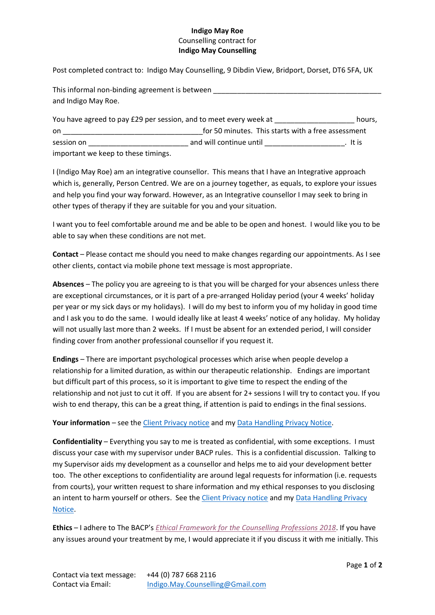## **Indigo May Roe**  Counselling contract for **Indigo May Counselling**

Post completed contract to: Indigo May Counselling, 9 Dibdin View, Bridport, Dorset, DT6 5FA, UK

| This informal non-binding agreement is between |  |
|------------------------------------------------|--|
| and Indigo May Roe.                            |  |

| You have agreed to pay £29 per session, and to meet every week at |                                                    | hours.  |
|-------------------------------------------------------------------|----------------------------------------------------|---------|
| on                                                                | for 50 minutes. This starts with a free assessment |         |
| session on                                                        | and will continue until                            | . It is |
| important we keep to these timings.                               |                                                    |         |

I (Indigo May Roe) am an integrative counsellor. This means that I have an Integrative approach which is, generally, Person Centred. We are on a journey together, as equals, to explore your issues and help you find your way forward. However, as an Integrative counsellor I may seek to bring in other types of therapy if they are suitable for you and your situation.

I want you to feel comfortable around me and be able to be open and honest. I would like you to be able to say when these conditions are not met.

**Contact** – Please contact me should you need to make changes regarding our appointments. As I see other clients, contact via mobile phone text message is most appropriate.

**Absences** – The policy you are agreeing to is that you will be charged for your absences unless there are exceptional circumstances, or it is part of a pre-arranged Holiday period (your 4 weeks' holiday per year or my sick days or my holidays). I will do my best to inform you of my holiday in good time and I ask you to do the same. I would ideally like at least 4 weeks' notice of any holiday. My holiday will not usually last more than 2 weeks. If I must be absent for an extended period, I will consider finding cover from another professional counsellor if you request it.

**Endings** – There are important psychological processes which arise when people develop a relationship for a limited duration, as within our therapeutic relationship. Endings are important but difficult part of this process, so it is important to give time to respect the ending of the relationship and not just to cut it off. If you are absent for 2+ sessions I will try to contact you. If you wish to end therapy, this can be a great thing, if attention is paid to endings in the final sessions.

Your information – see the [Client Privacy notice](https://www.indigomaycounselling.co.uk/new_client) and my [Data Handling Privacy Notice.](https://www.indigomaycounselling.co.uk/data_handling)

**Confidentiality** – Everything you say to me is treated as confidential, with some exceptions. I must discuss your case with my supervisor under BACP rules. This is a confidential discussion. Talking to my Supervisor aids my development as a counsellor and helps me to aid your development better too. The other exceptions to confidentiality are around legal requests for information (i.e. requests from courts), your written request to share information and my ethical responses to you disclosing an intent to harm yourself or others. See the [Client Privacy notice](https://www.indigomaycounselling.co.uk/new_client) and my Data Handling Privacy [Notice.](https://www.indigomaycounselling.co.uk/data_handling)

**Ethics** – I adhere to The BACP's *[Ethical Framework for the Counselling Professions 2018](https://www.bacp.co.uk/events-and-resources/ethics-and-standards/introducing-the-new-ethical-framework-2018/)*. If you have any issues around your treatment by me, I would appreciate it if you discuss it with me initially. This